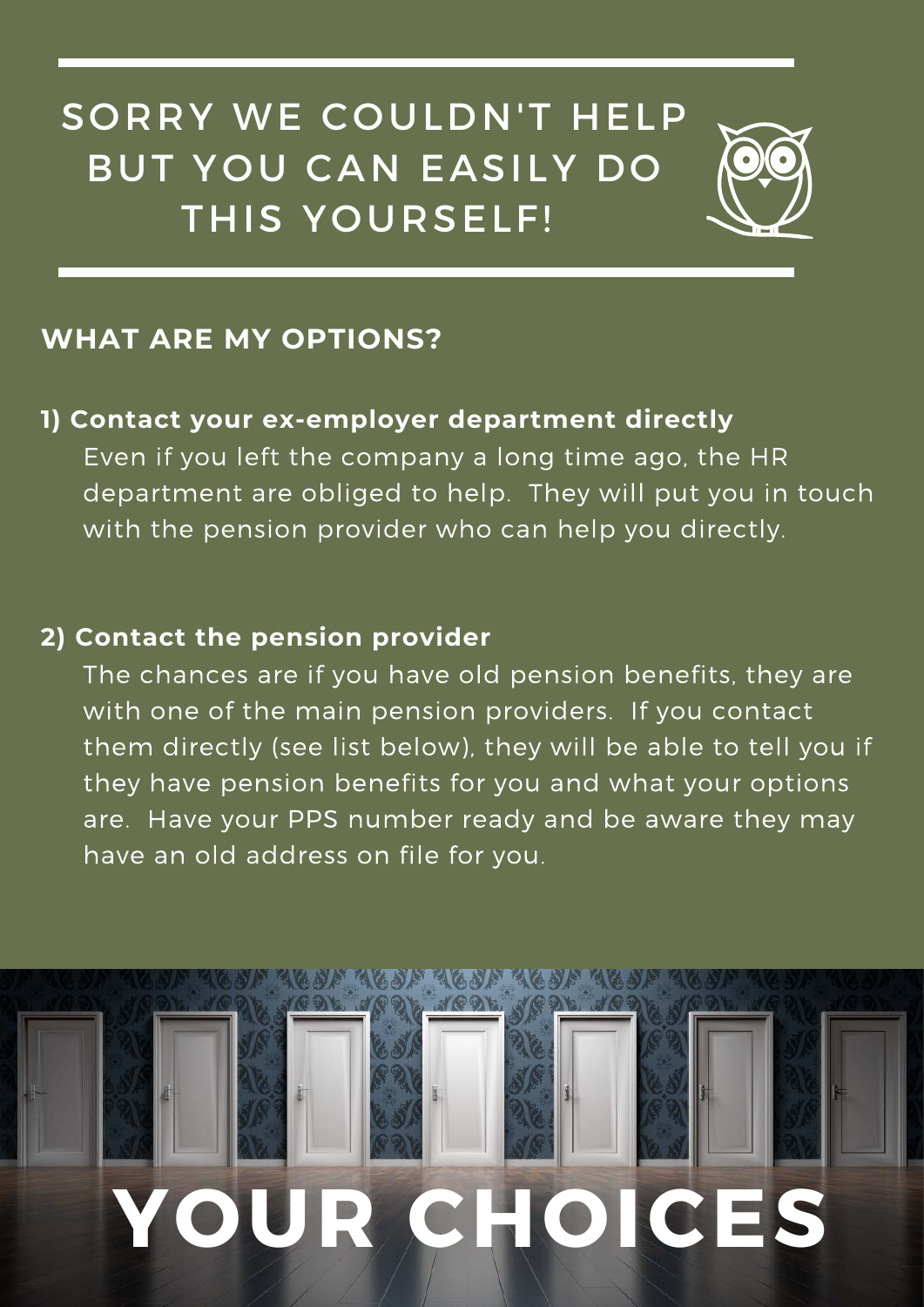SORRY WE COULDN'T HELP BUT YOU CAN EASILY DO THIS YOURSELF!



## **WHAT ARE MY OPTIONS?**

### **1) Contact your ex-employer department directly**

Even if you left the company a long time ago, the HR department are obliged to help. They will put you in touch with the pension provider who can help you directly.

#### **2) Contact the pension provider**

The chances are if you have old pension benefits, they are with one of the main pension providers. If you contact them directly (see list below), they will be able to tell you if they have pension benefits for you and what your options are. Have your PPS number ready and be aware they may have an old address on file for you.

# **YOUR CHOICES**

<u>acsa acsa acsa acsa acsa</u>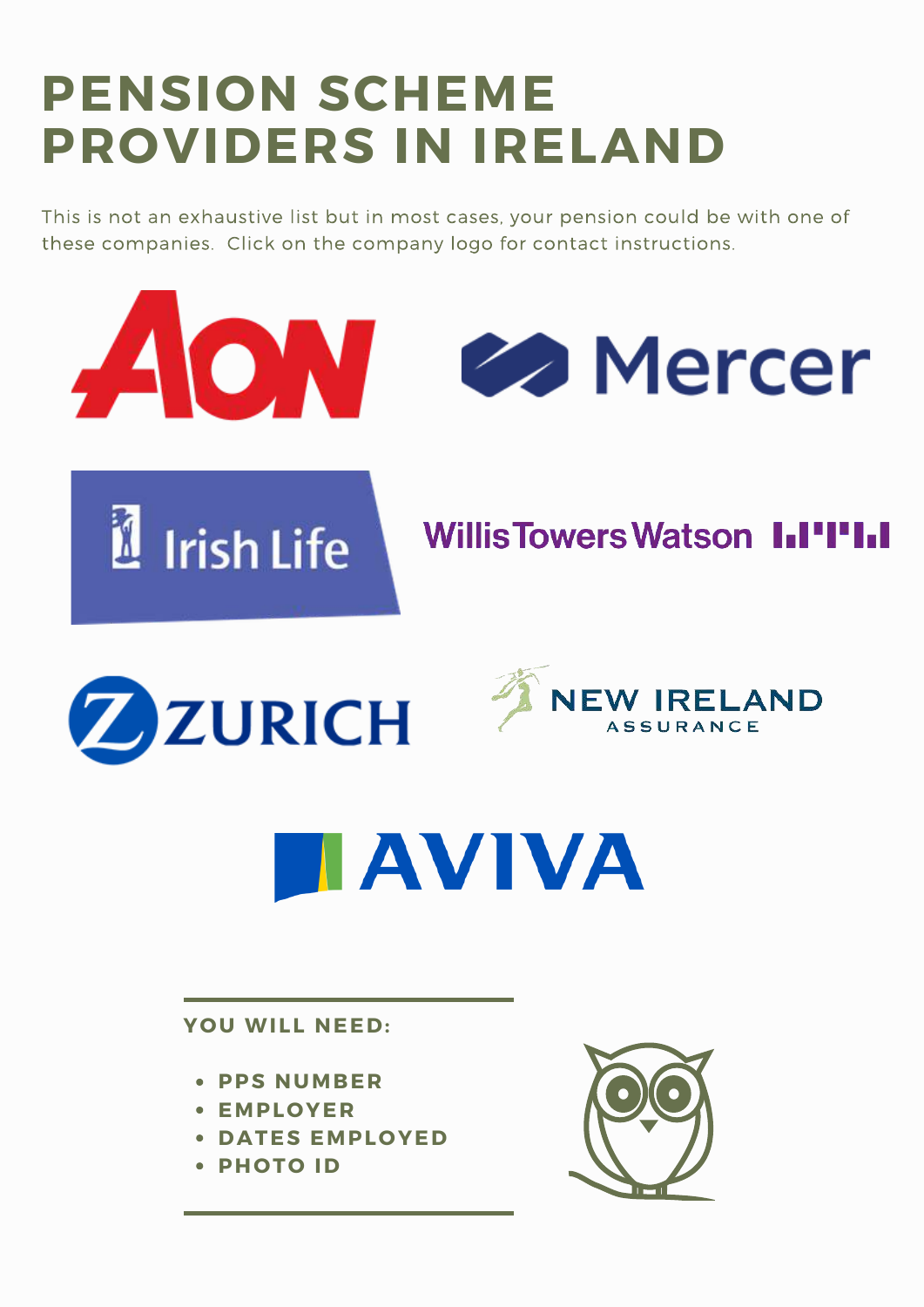## **PENSION SCHEME PROVIDERS IN IRELAND**

This is not an exhaustive list but in most cases, your pension could be with one of these companies. Click on the company logo for contact instructions.







## **WillisTowersWatson I.I'I'I.I**





# **HAVIVA**

**YOU WILL NEED:** 

- **PPS NUMBER**
- **E M P L O Y E R**
- **DATES EMPLOYED**
- **PHOTO ID**